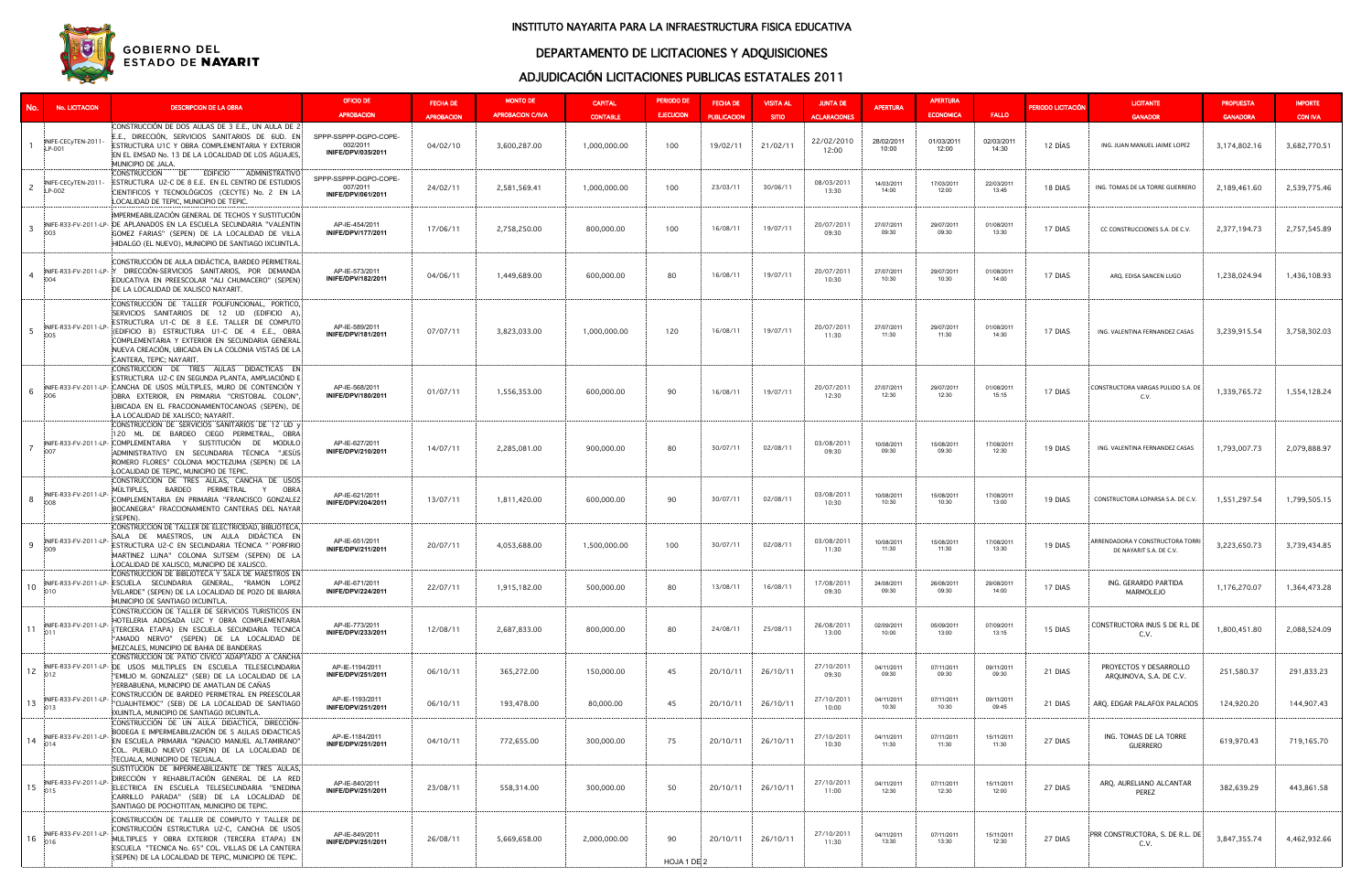| No. I                     | No. LICITACION                | <b>DESCRIPCION DE LA OBRA</b>                                                                                                                                                                                                                                                                                                     | OFICIO DE<br><b>APROBACION</b>                                 | <b>FECHA DE</b><br><b>APROBACION</b> | <b>MONTO DE</b><br><b>APROBACION C/IVA</b> | <b>CAPITAL</b><br><b>CONTABLE</b> | <b>PERIODO DE</b><br><b>EJECUCION</b> | <b>FECHA DE</b><br><b>PUBLICACION</b> | <b>VISITA AL</b><br><b>SITIO</b> | <b>JUNTA DE</b><br><b>ACLARACIONES</b> | <b>APERTURA</b>     | <b>APERTURA</b><br><b>ECONOMICA</b> | <b>FALLO</b>        | PERIODO LICITACIÓN | <b>LICITANTE</b><br><b>GANADOR</b>                          | <b>PROPUESTA</b><br><b>GANADORA</b> | <b>IMPORTE</b><br><b>CON IVA</b> |
|---------------------------|-------------------------------|-----------------------------------------------------------------------------------------------------------------------------------------------------------------------------------------------------------------------------------------------------------------------------------------------------------------------------------|----------------------------------------------------------------|--------------------------------------|--------------------------------------------|-----------------------------------|---------------------------------------|---------------------------------------|----------------------------------|----------------------------------------|---------------------|-------------------------------------|---------------------|--------------------|-------------------------------------------------------------|-------------------------------------|----------------------------------|
|                           | INIFE-CECyTEN-201<br>LP-001   | :CONSTRUCCIÓN DE DOS AULAS DE 3 E.E., UN AULA DE 2:<br>E.E., DIRECCIÓN, SERVICIOS SANITARIOS DE 6UD. EN:<br>ESTRUCTURA U1C Y OBRA COMPLEMENTARIA Y EXTERIOR<br>EN EL EMSAD No. 13 DE LA LOCALIDAD DE LOS AGUAJES,<br>MUNICIPIO DE JALA.                                                                                           | SPPP-SSPPP-DGPO-COPE-<br>002/2011<br>INIFE/DPV/035/2011        | 04/02/10                             | 3,600,287.00                               | 1,000,000.00                      | 100                                   | 19/02/11                              | 21/02/11                         | 22/02/2010<br>12:00                    | 28/02/2011<br>10:00 | 01/03/2011<br>12:00                 | 02/03/2011<br>14:30 | 12 DÍAS            | ING. JUAN MANUEL JAIME LOPEZ                                | 3,174,802.16                        | 3,682,770.51                     |
| 2                         | INIFE-CECyTEN-201<br>LP-002   | CONSTRUCCIÓN DE EDIFICIO ADMINISTRATIVO<br>ESTRUCTURA U2-C DE 8 E.E. EN EL CENTRO DE ESTUDIOS<br>CIENTIFICOS Y TECNOLÓGICOS (CECYTE) No. 2 EN LA!<br>LOCALIDAD DE TEPIC, MUNICIPIO DE TEPIC.                                                                                                                                      | SPPP-SSPPP-DGPO-COPE-<br>007/2011<br><b>INIFE/DPV/061/2011</b> | 24/02/11                             | 2,581,569.41                               | 1,000,000.00                      | 100                                   | 23/03/11                              | 30/06/11                         | 08/03/2011<br>13:30                    | 14/03/2011<br>14:00 | 17/03/2011<br>12:00                 | 22/03/2011<br>13:45 | 18 DIAS            | ING. TOMAS DE LA TORRE GUERRERO                             | 2,189,461.60                        | 2,539,775.46                     |
| $\overline{3}$            | 003                           | IMPERMEABILIZACIÓN GENERAL DE TECHOS Y SUSTITUCIÓN<br>INIFE-R33-FV-2011-LP- IDE APLANADOS EN LA ESCUELA SECUNDARIA "VALENTIN'<br>GOMEZ FARIAS" (SEPEN) DE LA LOCALIDAD DE VILLA<br>HIDALGO (EL NUEVO), MUNICIPIO DE SANTIAGO IXCUINTLA.                                                                                           | AP-IE-454/2011<br><b>INIFE/DPV/177/2011</b>                    | 17/06/11                             | 2,758,250.00                               | 800,000.00                        | 100                                   | 16/08/11                              | 19/07/11                         | 20/07/2011<br>09:30                    | 27/07/2011<br>09:30 | 29/07/2011<br>09:30                 | 01/08/2011<br>13:30 | 17 DIAS            | CC CONSTRUCCIONES S.A. DE C.V.                              | 2,377,194.73                        | 2,757,545.89                     |
| $\overline{4}$            | 004                           | CONSTRUCCIÓN DE AULA DIDÁCTICA, BARDEO PERIMETRAL<br>INIFE-R33-FV-2011-LP- Y DIRECCIÓN-SERVICIOS SANITARIOS, POR DEMANDA<br>EDUCATIVA EN PREESCOLAR "ALI CHUMACERO" (SEPEN)<br>DE LA LOCALIDAD DE XALISCO NAYARIT.                                                                                                                | AP-IE-573/2011<br><b>INIFE/DPV/182/2011</b>                    | 04/06/11                             | 1,449,689.00                               | 600,000.00                        | 80                                    | 16/08/11                              | 19/07/11                         | 20/07/2011<br>10:30                    | 27/07/2011<br>10:30 | 29/07/2011<br>10:30                 | 01/08/2011<br>14:00 | 17 DIAS            | ARQ. EDISA SANCEN LUGO                                      | 1,238,024.94                        | 1,436,108.93                     |
| $5\overline{5}$           | INIFE-R33-FV-2011-LP<br>005   | CONSTRUCCIÓN DE TALLER POLIFUNCIONAL, PORTICO,<br>SERVICIOS SANITARIOS DE 12 UD (EDIFICIO A),<br>ESTRUCTURA U1-C DE 8 E.E. TALLER DE COMPUTO<br>(EDIFICIO B) ESTRUCTURA U1-C DE 4 E.E., OBRA<br>COMPLEMENTARIA Y EXTERIOR EN SECUNDARIA GENERAL<br>NUEVA CREACIÓN, UBICADA EN LA COLONIA VISTAS DE LA:<br>CANTERA, TEPIC: NAYARIT | AP-IE-589/2011<br>INIFE/DPV/181/2011                           | 07/07/11                             | 3,823,033.00                               | 1,000,000.00                      | 120                                   | 16/08/11                              | 19/07/11                         | 20/07/2011<br>11:30                    | 27/07/2011<br>11:30 | 29/07/2011<br>11:30                 | 01/08/2011<br>14:30 | 17 DIAS            | ING. VALENTINA FERNANDEZ CASAS                              | 3,239,915.54                        | 3,758,302.03                     |
| 6                         | 006                           | CONSTRUCCIÓN DE TRES AULAS DIDÁCTICAS EN<br>ESTRUCTURA U2-C EN SEGUNDA PLANTA. AMPLIACIÓND E<br>INIFE-R33-FV-2011-LP- CANCHA DE USOS MULTIPLES, MURO DE CONTENCIÓN Y<br>OBRA EXTERIOR, EN PRIMARIA "CRISTOBAL COLON",<br>UBICADA EN EL FRACCIONAMIENTOCANOAS (SEPEN), DE<br>LA LOCALIDAD DE XALISCO; NAYARIT.                     | AP-IE-568/2011<br>INIFE/DPV/180/2011                           | 01/07/11                             | 1,556,353.00                               | 600,000.00                        | 90                                    | 16/08/11                              | 19/07/11                         | 20/07/2011<br>12:30                    | 27/07/2011<br>12:30 | 29/07/2011<br>12:30                 | 01/08/2011<br>15:15 | 17 DIAS            | CONSTRUCTORA VARGAS PULIDO S.A. DE<br>C.V.                  | 1,339,765.72                        | 1,554,128.24                     |
| $\overline{7}$            | 007                           | CONSTRUCCIÓN DE SERVICIOS SANITARIOS DE 12 UD y<br>120 ML DE BARDEO CIEGO PERIMETRAL, OBRA<br>INIFE-R33-FV-2011-LP- COMPLEMENTARIA Y SUSTITUCIÓN DE MODULO<br>ADMINISTRATIVO EN SECUNDARIA TÉCNICA "JESÚS:<br>ROMERO FLORES" COLONIA MOCTEZUMA (SEPEN) DE LA<br>LOCALIDAD DE TEPIC, MUNICIPIO DE TEPIC.                           | AP-IE-627/2011<br>INIFE/DPV/210/2011                           | 14/07/11                             | 2,285,081.00                               | 900,000.00                        | 80                                    | 30/07/11                              | 02/08/11                         | 03/08/2011<br>09:30                    | 10/08/2011<br>09:30 | 15/08/2011<br>09:30                 | 17/08/2011<br>12:30 | 19 DIAS            | ING. VALENTINA FERNANDEZ CASAS                              | 1,793,007.73                        | 2,079,888.97                     |
| 8                         | INIFE-R33-FV-2011-LP          | CONSTRUCCIÓN DE TRES AULAS, CANCHA DE USOS<br>MÜLTIPLES, BARDEO PERIMETRAL Y<br>OBRA<br>COMPLEMENTARIA EN PRIMARIA "FRANCISCO GONZALEZ:<br>BOCANEGRA" FRACCIONAMIENTO CANTERAS DEL NAYAR<br>(SEPEN)                                                                                                                               | AP-IE-621/2011<br>INIFE/DPV/204/2011                           | 13/07/11                             | 1,811,420.00                               | 600,000.00                        | 90                                    | 30/07/11                              | 02/08/11                         | 03/08/2011<br>10:30                    | 10/08/2011<br>10:30 | 15/08/2011<br>10:30                 | 17/08/2011<br>13:00 | 19 DIAS            | CONSTRUCTORA LOPARSA S.A. DE C.V.                           | 1,551,297.54                        | 1,799,505.15                     |
| 9                         | INIFE-R33-FV-2011-LP<br>009   | CONSTRUCCIÓN DE TALLER DE ELÉCTRICIDAD, BIBLIOTECA,<br>SALA DE MAESTROS, UN AULA DIDÁCTICA EN<br>ESTRUCTURA U2-C EN SECUNDARIA TÉCNICA "´PORFIRIO}<br>MARTINEZ LUNA" COLONIA SUTSEM (SEPEN) DE LA:<br>LOCALIDAD DE XALISCO. MUNICIPIO DE XALISCO.                                                                                 | AP-IE-651/2011<br>INIFE/DPV/211/2011                           | 20/07/11                             | 4,053,688.00                               | 1,500,000.00                      | 100                                   | 30/07/11                              | 02/08/11                         | 03/08/2011<br>11:30                    | 10/08/2011<br>11:30 | 15/08/2011<br>11:30                 | 17/08/2011<br>13:30 | 19 DIAS            | ARRENDADORA Y CONSTRUCTORA TORRI<br>DE NAYARIT S.A. DE C.V. | 3,223,650.73                        | 3,739,434.85                     |
| 10                        |                               | CONSTRUCCION DE BIBLIOTECA Y SALA DE MAESTROS EN<br>INFE-R33-FV-2011-LP-ESCUELA SECUNDARIA GENERAL, "RAMON LOPEZ<br>VELARDE" (SEPEN) DE LA LOCALIDAD DE POZO DE IBARRA<br>MUNICIPIO DE SANTIAGO IXCUINTLA.                                                                                                                        | AP-IE-671/2011<br>INIFE/DPV/224/2011                           | 22/07/11                             | 1,915,182.00                               | 500,000.00                        | 80                                    | 13/08/11                              | 16/08/11                         | 17/08/2011<br>09:30                    | 24/08/2011<br>09:30 | 26/08/2011<br>09:30                 | 29/08/2011<br>14:00 | 17 DIAS            | ING. GERARDO PARTIDA<br>MARMOLEJO                           | 1,176,270.07                        | 1,364,473.28                     |
| $(-11)^{\frac{100}{100}}$ | INIFE-R33-FV-2011-LP-         | CONSTRUCCION DE TALLER DE SERVICIOS TURISTICOS EN<br>HOTELERIA ADOSADA U2C Y OBRA COMPLEMENTARIA:<br>(TERCERA ETAPA) EN ESCUELA SECUNDARIA TECNICA<br>"AMADO NERVO" (SEPEN) DE LA LOCALIDAD DE<br>MEZCALES, MUNICIPIO DE BAHIA DE BANDERAS                                                                                        | AP-IE-773/2011<br>INIFE/DPV/233/2011                           | 12/08/11                             | 2,687,833.00                               | 800,000.00                        | 80                                    | 24/08/11                              | 25/08/11                         | 26/08/2011<br>13:00                    | 02/09/2011<br>10:00 | 05/09/2011<br>13:00                 | 07/09/2011<br>13:15 | 15 DIAS            | CONSTRUCTORA INUS S DE R.L DE<br>C.V.                       | 1,800,451.80                        | 2,088,524.09                     |
|                           |                               | CONSTRUCCIÓN DE PATIO CIVICO ADAPTADO A CANCHA<br>INFE-R33-FV-2011-LP-DE USOS MULTIPLES EN ESCUELA TELESECUNDARIA<br>"EMILIO M. GONZALEZ" (SEB) DE LA LOCALIDAD DE LA:<br>YERBABUENA, MUNICIPIO DE AMATLAN DE CAÑAS                                                                                                               | AP-IE-1194/2011<br>INIFE/DPV/251/2011                          | 06/10/11                             | 365,272.00                                 | 150,000.00                        | 45                                    | 20/10/11                              | 26/10/11                         | 27/10/2011<br>09:30                    | 04/11/2011<br>09:30 | 07/11/2011<br>09:30                 | 09/11/2011<br>09:30 | 21 DIAS            | PROYECTOS Y DESARROLLO<br>ARQUINOVA, S.A. DE C.V.           | 251,580.37                          | 291,833.23                       |
| 13                        | INIFE-R33-FV-2011-LP-<br> 013 | CONSTRUCCIÓN DE BARDEO PERIMETRAL EN PREESCOLARI<br>"CUAUHTEMOC" (SEB) DE LA LOCALIDAD DE SANTIAGO<br>IXUINTLA, MUNICIPIO DE SANTIAGO IXCUINTLA.                                                                                                                                                                                  | AP-IE-1193/2011<br>INIFE/DPV/251/2011                          | 06/10/11                             | 193,478.00                                 | 80,000.00                         | 45                                    | 20/10/11                              | 26/10/11                         | 27/10/2011<br>10:00                    | 04/11/2011<br>10:30 | 07/11/2011<br>10:30                 | 09/11/2011<br>09:45 | 21 DIAS            | ARQ. EDGAR PALAFOX PALACIOS                                 | 124,920.20                          | 144,907.43                       |
| $(14)^{100}$              | INIFE-R33-FV-2011-LP          | CONSTRUCCIÓN DE UN AULA DIDACTICA, DIRECCIÓN-<br>BODEGA E IMPERMEABILIZACIÓN DE 5 AULAS DIDACTICAS:<br>EN ESCUELA PRIMARIA "IGNACIO MANUEL ALTAMIRANO"<br>COL. PUEBLO NUEVO (SEPEN) DE LA LOCALIDAD DE<br>TECUALA, MUNICIPIO DE TECUALA.                                                                                          | AP-IE-1184/2011<br>INIFE/DPV/251/2011                          | 04/10/11                             | 772,655.00                                 | 300,000.00                        | 75                                    | 20/10/11                              | 26/10/11                         | 27/10/2011<br>10:30                    | 04/11/2011<br>11:30 | 07/11/2011<br>11:30                 | 15/11/2011<br>11:30 | 27 DIAS            | ING. TOMAS DE LA TORRE<br>GUERRERO                          | 619,970.43                          | 719,165.70                       |
| $+15$ $^{mm}_{015}$       | INIFE-R33-FV-2011-LP-         | SUSTITUCIÓN DE IMPERMEABILIZANTE DE TRES AULAS,<br>DIRECCIÓN Y REHABILITACIÓN GENERAL DE LA RED<br>ELECTRICA EN ESCUELA TELESECUNDARIA "ENEDINA<br>CARRILLO PARADA" (SEB) DE LA LOCALIDAD DE:<br>SANTIAGO DE POCHOTITAN, MUNICIPIO DE TEPIC.                                                                                      | AP-IE-840/2011<br>INIFE/DPV/251/2011                           | 23/08/11                             | 558,314.00                                 | 300,000.00                        | 50                                    | 20/10/11                              | 26/10/11                         | 27/10/2011<br>11:00                    | 04/11/2011<br>12:30 | 07/11/2011<br>12:30                 | 15/11/2011<br>12:00 | 27 DIAS            | ARQ. AURELIANO ALCANTAR<br>PEREZ                            | 382,639.29                          | 443,861.58                       |
| 16                        | INIFE-R33-FV-2011-LP-<br>016  | CONSTRUCCIÓN DE TALLER DE COMPUTO Y TALLER DE:<br>CONSTRUCCIÓN ESTRUCTURA U2-C, CANCHA DE USOS:<br>MULTIPLES Y OBRA EXTERIOR (TERCERA ETAPA) EN<br>ESCUELA "TECNICA No. 65" COL. VILLAS DE LA CANTERA!<br>(SEPEN) DE LA LOCALIDAD DE TEPIC, MUNICIPIO DE TEPIC.                                                                   | AP-IE-849/2011<br><b>INIFE/DPV/251/2011</b>                    | 26/08/11                             | 5,669,658.00                               | 2,000,000.00                      | 90<br>HOJA 1 DE 2                     | 20/10/11                              | 26/10/11                         | 27/10/2011<br>11:30                    | 04/11/2011<br>13:30 | 07/11/2011<br>13:30                 | 15/11/2011<br>12:30 | 27 DIAS            | PRR CONSTRUCTORA, S. DE R.L. DE<br>C.V.                     | 3,847,355.74                        | 4,462,932.66                     |

## DEPARTAMENTO DE LICITACIONES Y ADQUISICIONES



### INSTITUTO NAYARITA PARA LA INFRAESTRUCTURA FISICA EDUCATIVA

## ADJUDICACIÓN LICITACIONES PUBLICAS ESTATALES 2011